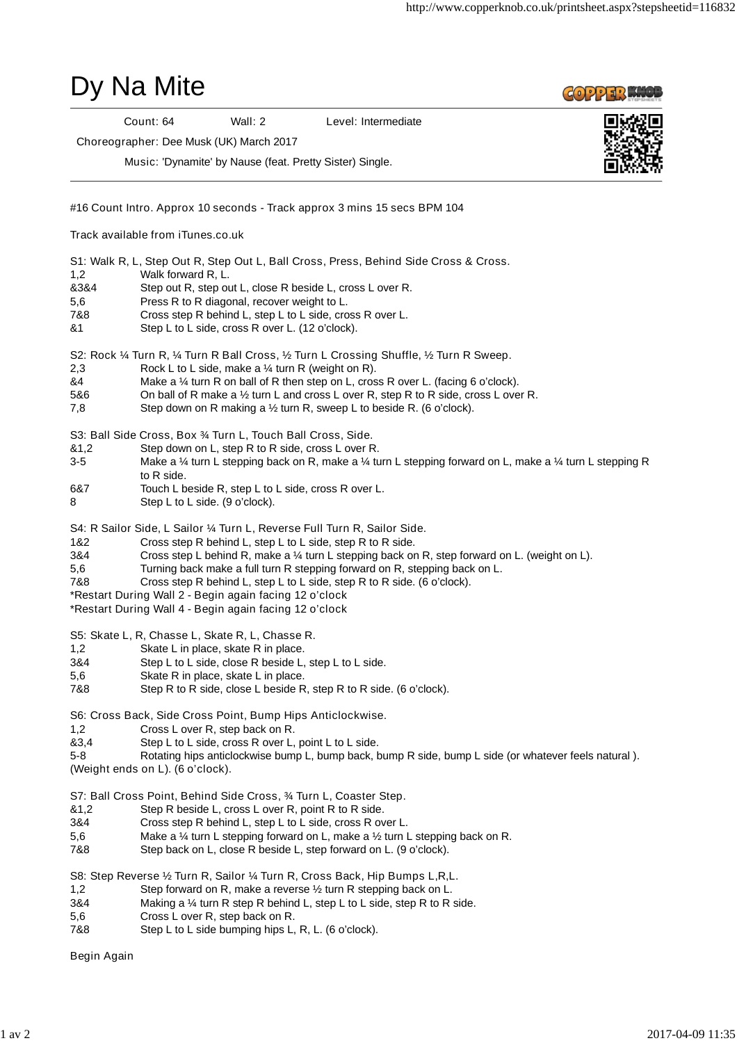

Begin Again